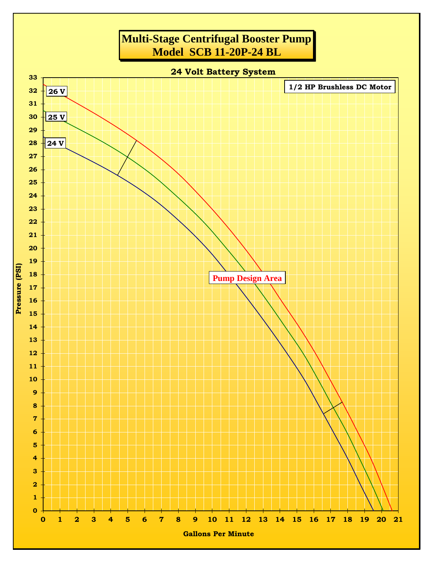